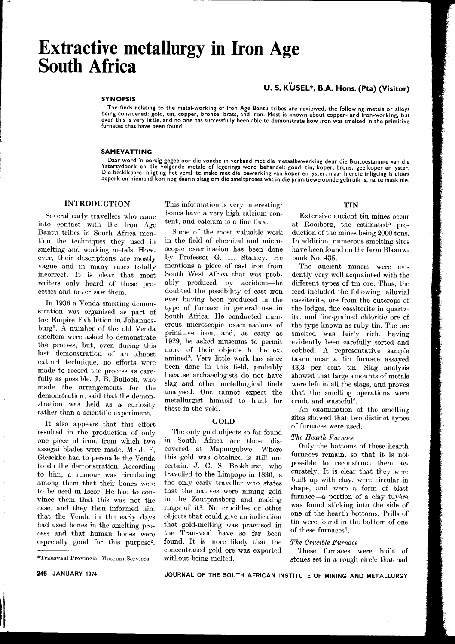# **Extractive metallurgy in Iron Age South Africa**

## U. S. KUSEL\*, B.A. Hons. (Pta) (Visitor)

#### SYNOPSIS

The finds relating to the metal-working of Iron Age Bantu tribes are reviewed, the following metals or alloys being considered: gold, tin, copper, bronze, brass, and iron. Most is known about copper- and iron-working, but even this is very little, and no one has successfully been able to demonstrate how iron was smelted in the primitive furnaces that have been found.

#### SAMEVATTING

Daar word 'n oorsig gegee oor die vondse in verband met die metaalbewerking deur die Bantoestamme van die Ystertydperk en die volgende metale of legerings word behandel: goud,. tin, koper, brons, geelkoper en yster. Die beskikbare inligting het veral te make met die bewerking van koper en yster, maar hierdie inligting is uiters beperk en niemand kon nog daarin slaag om die smeltproses wat in die primitiewe oonde gebruik is, na te maak nie.

## INTRODUCTION

Several early travellers who came into contact with the Iron Age Bantu tribes in South Africa mention the techniques they used in smelting and working metals. However, their descriptions are mostly vague and in many cases totally incorrect. It is clear that most writers only heard of these processes and never saw them.

In 1936 a Venda smelting demonstration was organized as part of the Empire Exhibition in Johannesburg1. A number of the old Venda smelters were asked to demonstrate the process, but, even during this last demonstration of an almost extinct technique, no efforts were made to record the process as carefully as possible. J. B. Bullock, who made the arrangements for the demonstration, said that the demonstration was held as a curiosity rather than a scientific experiment.

It also appears that this effort resulted in the production of only one piece of iron, from which two assegai blades were made. Mr J. F. Giesekke had to persuade the Venda to do the demonstration. According to him, a rumour was circulating among them that their bones were to be used in Iscor. He had to convince them that this was not the case, and they then informed him that the Venda in the early days had used bones in the smelting process and that human bones were especially good for this purpose2.

This information is very interesting: bones have a very high calcium content, and calcium is a fine flux.

Some of the most valuable work in the field of chemical and microscopic examination has been done by Professor G. H. Stanley. He mentions a piece of cast iron from South West Africa that was probably produced by accident-he doubted the possibility of cast iron ever having been produced in the type of furnace in general use in South Africa. He conducted numerous microscopic examinations of primitive iron, and, as early as 1929, he asked museums to permit more of their objects to be examined3. Very little work has since been done in this field, probably because archaeologists do not have slag and other metallurgical finds analysed. One cannot expect the metallurgist himself to hunt for these in the veld.

### GOLD

The only gold objects so far found in South Africa are those discovered at Mapungubwe. Where this gold was obtained is still uncertain. J. G. S. Brokhurst, who travelled to the Limpopo in 1836, is the only early traveller who states that the natives were mining gold in the Zoutpansberg and making rings of it4. No crucibles or other objects that could give an indication that gold-melting was practised in the Transvaal have so far been found. It is more likely that the concentrated gold ore was exported without being melted.

#### TIN

Extensive ancient tin mines occur at Rooiberg, the estimated<sup>5</sup> production of the mines being 2000 tons. In addition, numerous smelting sites have been found on the farm Blaauwbank No. 435.

The ancient miners were evidently very well acquainted with the different types of tin ore. Thus, the feed included the following: alluvial cassiterite, ore from the outcrops of the lodges, fine cassiterite in quartzite, and fine-grained chloritic ore of the type known as ruby tin. The ore smelted was fairly rich, having evidently been carefully sorted and cobbed. A representative sample taken near a tin furnace assayed 43,3 per cent tin. Slag analysis showed that large amounts of metals were left in all the slags, and proves that the smelting operations were crude and wasteful6.

An examination of the smelting sites showed that two distinct types of furnaces were used.

#### *The Hearth Furnace*

Only the bottoms of these hearth furnaces remain, so that it is not possible to reconstruct them accurately. It is clear that they were built up with clay, were circular in shape, and were a form of blast furnace-a portion of a clay tuyère was found sticking into the side of one of the hearth bottoms. Prills of tin were found in the bottom of one of these furnaces7.

#### *The Crucible Furnace*

These furnaces were built of stones set in a rough circle that had

<sup>\*</sup>Transvaal Provincial Museum Services.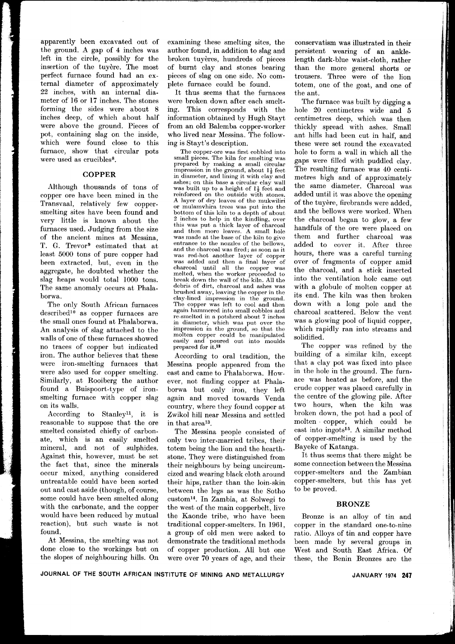apparently been excavated out of the ground. A gap of 4 inches was left in the circle, possibly for the insertion of the tuyère. The most perfect furnace found had an external diameter of approximately 22 inches, with an internal diameter of 16 or 17 inches. The stones forming the sides were about 8 inches deep, of which about half were above the ground. Pieces of pot, containing slag on the inside, which were found close to this furnace, show that circular pots were used as crucibles<sup>8</sup>.

## **COPPER**

Although thousands of tons of copper ore have been mined in the Transvaal, relatively few coppersmelting sites have been found and very little is known about the furnaces used. Judging from the size of the ancient mines at Messina, T. G. Trevor9 estimated that at least 5000 tons of pure copper had been extracted, but, even in the aggregate, he doubted whether the slag heaps would total 1000 tons. The same anomaly occurs at Phalaborwa.

The only South African furnaces  $described<sup>10</sup>$  as copper furnaces are the small ones found at Phalaborwa. An analysis of slag attached to the walls of one of these furnaces showed no traces of copper but indicated iron. The author believes that these were iron-smelting furnaces that were also used for copper smelting. Similarly, at Rooiberg the author found a Buispoort-type of ironsmelting furnace with copper slag on its walls.

According to Stanleyll, it is reasonable to suppose that the ore smelted consisted chiefly of carbonate, which is an easily smelted mineral, and not of sulphides. Against this, however, must be set the fact that, since the minerals occur mixed, anything considered untreatable could have been sorted out and cast aside (though, of course, some could have been smelted along with the carbonate, and the copper would have been reduced by mutual reaction), but such waste is not found.

At Messina, the smelting was not done close to the workings but on the slopes of neighbouring hills. On examining these smelting sites, the author found, in addition to slag and broken tuyères, hundreds of pieces of burnt clay and stones bearing pieces of slag on one side. No complete furnace could be found.

It thus seems that the furnaces were broken down after each smelting. This corresponds with the information obtained by Hugh Stayt from an old Balemba copper-worker who lived near Messina. The following is Stayt's description.

The copper-ore was first cobbled into small pieces. The kiln for smelting was prepared by making a small circular impression in the ground, about  $1\frac{1}{2}$  feet in diameter, and lining it with clay and ashes; on this base a circular clay wall was built up to a height of  $1\frac{1}{2}$  feet and reinforced on the outside with stones. A layer of dry leaves of the mukwiliri or mulamvhira trees was put into the bottom of this kiln to a depth of about 2 inches to help in the kindling, over this was put a thick layer of charcoal and then more leaves. A small hole was made at the base of the kiln to give entrance to the nozzles of the bellows, and the charcoal was fired; as soon as it was red-hot another layer of copper was added and then a final layer of charcoal until all the copper was melted, when the worker proceeded to break down the wall of the kiln. All the debris of dirt, charcoal and ashes was brushed away, leaving the copper in the clay-lined impression in the ground. The copper was left to cool and then again hammered into small cobbles and re-smelted in a potsherd about 7 inches in diameter, which was put over the impression in the ground, so that the molten copper could be manipulated easily and poured out into moulds prepared for it.<sup>12</sup>

According to oral tradition, the Messina people appeared from the east and came to Phalaborwa. However, not finding copper at Phalaborwa but only iron, they left again and moved towards Venda country, where they found copper at Zwikol hill near Messina and settled in that area13.

The Messina people consisted of only two inter-married tribes, their totem being the lion and the hearthstone. They were distinguished from their neighbours by being uncircumcized and wearing black cloth around their hips, rather than the loin-skin between the legs as was the Sotho custom14. In Zambia, at Solwegi to the west of the main copperbelt, live the Kaonde tribe, who have been traditional copper-smelters. In 1961, a group of old men were asked to demonstrate the traditional methods of copper production. All but one were over 70 years of age, and their

conservatism was illustrated in their persistent wearing of an anklelength dark-blue waist-cloth, rather than the more general shorts or trousers. Three were of the lion totem, one of the goat, and one of the ant.

The furnace was built by digging a hole 20 centimetres wide and 5 centimetres deep, which was then thickly spread with ashes. Small ant hills had been cut in half, and these were set round the excavated hole to form a wall in which all the gaps were filled with puddled clay. The resulting furnace was 40 centimetres high and of approximately the same diameter. Charcoal was added until it was above the opening of the tuyere, firebrands were added, and the bellows were worked. When the charcoal began to glow, a few handfuls of the ore were placed on them and further charcoal was added to cover it. After three hours, there was a careful turning over of fragments of copper amid the charcoal, and a stick inserted into the ventilation hole came out with a globule of molten copper at its end. The kiln was then broken down with a long pole and the charcoal scattered. Below the vent was a glowing pool of liquid copper, which rapidly ran into streams and solidified.

The copper was refined by the building of a similar kiln, except that a clay pot was fixed into place in the hole in the ground. The furnace was heated as before, and the crude copper was placed carefully in the centre of the glowing pile. After two hours, when the kiln was broken down, the pot had a pool of molten. copper, which could be cast into ingots15. A similar method of copper-smelting is used by the Bayeke of Katanga.

It thus seems that there might be some connection between the Messina copper-smelters and the Zambian copper-smelters, but this has yet to be proved.

#### BRONZE

Bronze is an alloy of tin and copper in the standard one-to-nine ratio. Alloys of tin and copper have been made by several groups in West and South East Africa. Of these, the Benin Bronzes are the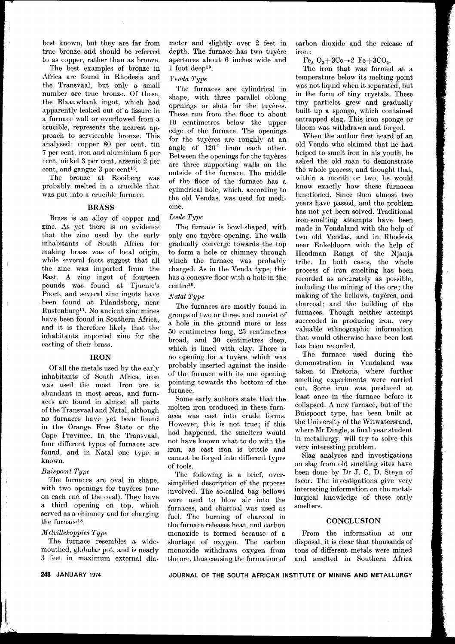best known, but they are far from true bronze and should be referred to as copper, rather than as bronze.

The best examples of bronze in Africa are found in Rhodesia and the Transvaal, but only a small number are true bronze. Of these, the Blaauwbank ingot, which had apparently leaked out of a fissure in a furnace wall or overflowed from a crucible, represents the nearest approach to serviceable bronze. This analysed: copper 80 per cent, tin 7 per cent, iron and aluminium 5 per cent, nickel 3 per cent, arsenic 2 per cent, and gangue 3 per cent16.

The bronze at Rooiberg was probably melted in a crucible that was put into a crucible furnace.

## BRASS

Brass is an alloy of copper and zinc. As yet there is no evidence that the zinc used by the early inhabitants of South Africa for making brass was of local origin, while several facts suggest that all the zinc was imported from the East. A zinc ingot of fourteen pounds was found at Tjuenie's Poort, and several zinc ingots have been found at Pilandsberg, near Rustenburg17. No ancient zinc mines have been found in Southern Africa, and it is therefore likely that the inhabitants imported zinc for the casting of their brass.

## IRON

Of all the metals used by the early inhabitants of South Africa, iron was used the most. Iron ore is abundant in most areas, and furnaces are found in almost all parts of the Transvaal and Natal, although no furnaces have yet been found in the Orange Free State or the Cape Province. In the Transvaal, four different types of furnaces are found, and in Natal one type is known.

#### *Buispoort Type*

The furnaces are oval in shape, with two openings for tuyeres (one on each end of the oval). They have a third opening on top, which served as a chimney and for charging the furnace<sup>18</sup>.

## *M elvillekoppies Type*

The furnace resembles a widemouthed, globular pot, and is nearly 3 feet in maximum external dia-

## *Venda Type*

The furnaces are cylindrical in shape, with three parallel oblong openings or slots for the tuyeres. These run from the floor to about 10 centimetres below the upper edge of the furnace. The openings for the tuyères are roughly at an angle of  $120^{\circ}$  from each other. Between the openings for the tuyeres are three supporting walls on the outside of the furnace. The middle of the floor of the furnace has a cylindrical hole, which, according to the old Vendas, was used for medicine.

## *Loole Type*

The furnace is bowl-shaped, with only one tuyere opening. The walls gradually converge towards the top to form a hole or chimney through which the furnace was probably charged. As in the Venda type, this has a concave floor with a hole in the centre20.

### *Natal Type*

The furnaces are mostly found in groups of two or three, and consist of a hole in the ground more or less 50 centimetres long, 25 centimetres broad, and 30 centimetres deep, which is lined with clay. There is no opening for a tuyere, which was probably inserted against the inside of the furnace with its one opening pointing towards the bottom of the furnace.

Some early authors state that the molten iron produced in these furnaces was cast into crude forms. However, this is not true; if this had happened, the smelters would not have known what to do with the iron, as cast iron is brittle and cannot be forged into different types of tools.

The following is a brief, oversimplified description of the process involved. The so-called bag bellows were used to blow air into the furnaces, and charcoal was used as fuel. The burning of charcoal in the furnace releases heat, and carbon monoxide is formed because of a shortage of oxygen. The carbon monoxide withdraws oxygen from the ore, thus causing the formation of carbon dioxide and the release of iron:

 $Fe<sub>2</sub>$   $O<sub>3</sub>+3Co\rightarrow 2$   $Fe+3CO<sub>2</sub>$ .

The iron that was formed at a temperature below its melting point was not liquid when it separated, but in the form of tiny crystals. These tiny particles grew and gradually built up a sponge, which contained entrapped slag. This iron sponge or bloom was withdrawn and forged.

When the author first heard of an old Venda who claimed that he had helped to smelt iron in his youth, he asked the old man to demonstrate the whole process, and thought that, within a month or two, he would know exactly how these furnaces functioned. Since then almost two years have passed, and the problem has not yet been solved. Traditional iron-smelting attempts have been made in Vendaland with the help of two old Vendas, and in Rhodesia near Enkeldoorn with the help of Headman Ranga of the Njanja tribe. In both cases, the whole process of iron smelting has been recorded as accurately as possible, including the mining of the ore; the making of the bellows, tuyères, and charcoal; and the building of the furnaces. Though neither attempt succeeded in producing iron, very valuable ethnographic information that would otherwise have been lost has been recorded.

The furnace used during the demonstration in Vendaland was taken to Pretoria, where further smelting experiments were carried out. Some iron was produced at least once in the furnace before it collapsed. A new furnace, but of the Buispoort type, has been built at the University of the Witwatersrand, where Mr Dingle, a final-year student in metallurgy, will try to solve this very interesting problem.

Slag analyses and investigations on slag from old smelting sites have been done by Dr J. C. D. Steyn of Iscor. The investigations give very interesting information on the metallurgical knowledge of these early smelters.

## **CONCLUSION**

From the information at our disposal, it is clear that thousands of tons of different metals were mined and smelted in Southern Africa